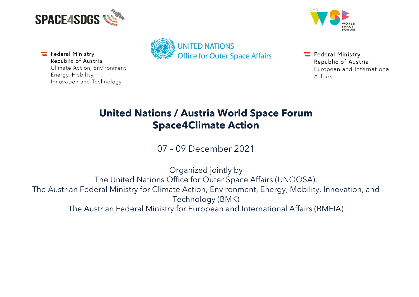



Federal Ministry Republic of Austria Climate Action, Environment, Energy, Mobility, Innovation and Technology



 $\equiv$  Federal Ministry Republic of Austria European and International Affairs

## **United Nations / Austria World Space Forum Space4Climate Action**

07 – 09 December 2021

Organized jointly by The United Nations Office for Outer Space Affairs (UNOOSA), The Austrian Federal Ministry for Climate Action, Environment, Energy, Mobility, Innovation, and Technology (BMK) The Austrian Federal Ministry for European and International Affairs (BMEIA)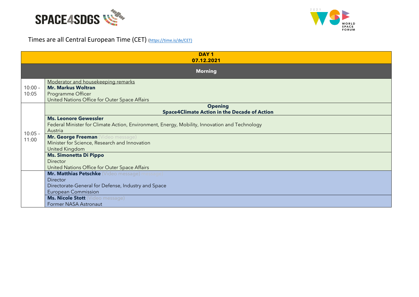



## Times are all Central European Time (CET) [\(https://time.is/de/CET\)](https://time.is/de/CET)

|                                                                                                                                                       | DAY <sub>1</sub><br>07.12.2021                                                                                                           |  |  |
|-------------------------------------------------------------------------------------------------------------------------------------------------------|------------------------------------------------------------------------------------------------------------------------------------------|--|--|
|                                                                                                                                                       | <b>Morning</b>                                                                                                                           |  |  |
| $10:00 -$<br>10:05                                                                                                                                    | Moderator and housekeeping remarks<br><b>Mr. Markus Woltran</b><br>Programme Officer<br>United Nations Office for Outer Space Affairs    |  |  |
|                                                                                                                                                       | <b>Opening</b><br><b>Space4Climate Action in the Decade of Action</b>                                                                    |  |  |
| $10:05 -$<br>11:00                                                                                                                                    | <b>Ms. Leonore Gewessler</b><br>Federal Minister for Climate Action, Environment, Energy, Mobility, Innovation and Technology<br>Austria |  |  |
|                                                                                                                                                       | Mr. George Freeman (Video message)<br>Minister for Science, Research and Innovation<br>United Kingdom                                    |  |  |
|                                                                                                                                                       | <b>Ms. Simonetta Di Pippo</b><br>Director<br>United Nations Office for Outer Space Affairs                                               |  |  |
|                                                                                                                                                       | Mr. Matthias Petschke (Video message) message)<br>Director                                                                               |  |  |
| Directorate-General for Defense, Industry and Space<br><b>European Commission</b><br><b>Ms. Nicole Stott</b> (Video message)<br>Former NASA Astronaut |                                                                                                                                          |  |  |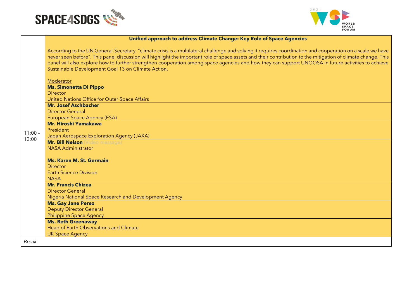



## **Unified approach to address Climate Change: Key Role of Space Agencies**

According to the UN General-Secretary, "climate crisis is a multilateral challenge and solving it requires coordination and cooperation on a scale we have never seen before". This panel discussion will highlight the important role of space assets and their contribution to the mitigation of climate change. This panel will also explore how to further strengthen cooperation among space agencies and how they can support UNOOSA in future activities to achieve Sustainable Development Goal 13 on Climate Action.

|                                 | Moderator                                              |  |
|---------------------------------|--------------------------------------------------------|--|
|                                 | <b>Ms. Simonetta Di Pippo</b>                          |  |
|                                 | Director                                               |  |
|                                 | United Nations Office for Outer Space Affairs          |  |
|                                 | <b>Mr. Josef Aschbacher</b>                            |  |
|                                 | <b>Director General</b>                                |  |
|                                 | <b>European Space Agency (ESA)</b>                     |  |
|                                 | <b>Mr. Hiroshi Yamakawa</b>                            |  |
| $11:00 -$                       | President                                              |  |
| 12:00                           | Japan Aerospace Exploration Agency (JAXA)              |  |
| Mr. Bill Nelson (Video message) |                                                        |  |
|                                 | <b>NASA Administrator</b>                              |  |
|                                 |                                                        |  |
|                                 | <b>Ms. Karen M. St. Germain</b>                        |  |
|                                 | <b>Director</b>                                        |  |
|                                 | <b>Earth Science Division</b>                          |  |
|                                 | <b>NASA</b>                                            |  |
|                                 | <b>Mr. Francis Chizea</b>                              |  |
|                                 | <b>Director General</b>                                |  |
|                                 | Nigeria National Space Research and Development Agency |  |
|                                 | <b>Ms. Gay Jane Perez</b>                              |  |
|                                 | <b>Deputy Director General</b>                         |  |
|                                 | <b>Philippine Space Agency</b>                         |  |
|                                 | <b>Ms. Beth Greenaway</b>                              |  |
|                                 | Head of Earth Observations and Climate                 |  |
|                                 | <b>UK Space Agency</b>                                 |  |
| <b>Break</b>                    |                                                        |  |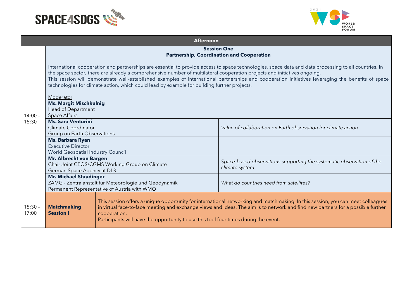



|                    | <b>Afternoon</b>                                                                                                                                                                                                                                                                                                                                                                                                                                                                                                                       |                                                                                                                                                                                                                                                                                                                                                                             |                                                                                         |  |
|--------------------|----------------------------------------------------------------------------------------------------------------------------------------------------------------------------------------------------------------------------------------------------------------------------------------------------------------------------------------------------------------------------------------------------------------------------------------------------------------------------------------------------------------------------------------|-----------------------------------------------------------------------------------------------------------------------------------------------------------------------------------------------------------------------------------------------------------------------------------------------------------------------------------------------------------------------------|-----------------------------------------------------------------------------------------|--|
|                    | <b>Session One</b><br><b>Partnership, Coordination and Cooperation</b>                                                                                                                                                                                                                                                                                                                                                                                                                                                                 |                                                                                                                                                                                                                                                                                                                                                                             |                                                                                         |  |
| $14:00 -$<br>15:30 | International cooperation and partnerships are essential to provide access to space technologies, space data and data processing to all countries. In<br>the space sector, there are already a comprehensive number of multilateral cooperation projects and initiatives ongoing.<br>This session will demonstrate well-established examples of international partnerships and cooperation initiatives leveraging the benefits of space<br>technologies for climate action, which could lead by example for building further projects. |                                                                                                                                                                                                                                                                                                                                                                             |                                                                                         |  |
|                    | Moderator<br><b>Ms. Margit Mischkulnig</b><br>Head of Department<br><b>Space Affairs</b>                                                                                                                                                                                                                                                                                                                                                                                                                                               |                                                                                                                                                                                                                                                                                                                                                                             |                                                                                         |  |
|                    | <b>Ms. Sara Venturini</b><br>Climate Coordinator<br>Group on Earth Observations                                                                                                                                                                                                                                                                                                                                                                                                                                                        |                                                                                                                                                                                                                                                                                                                                                                             | Value of collaboration on Earth observation for climate action                          |  |
|                    | Ms. Barbara Ryan<br><b>Executive Director</b><br>World Geospatial Industry Council                                                                                                                                                                                                                                                                                                                                                                                                                                                     |                                                                                                                                                                                                                                                                                                                                                                             |                                                                                         |  |
|                    | Mr. Albrecht von Bargen<br>Chair Joint CEOS/CGMS Working Group on Climate<br>German Space Agency at DLR                                                                                                                                                                                                                                                                                                                                                                                                                                |                                                                                                                                                                                                                                                                                                                                                                             | Space-based observations supporting the systematic observation of the<br>climate system |  |
|                    | <b>Mr. Michael Staudinger</b><br>ZAMG - Zentralanstalt für Meteorologie und Geodynamik<br>Permanent Representative of Austria with WMO                                                                                                                                                                                                                                                                                                                                                                                                 |                                                                                                                                                                                                                                                                                                                                                                             | What do countries need from satellites?                                                 |  |
| $15:30 -$<br>17:00 | <b>Matchmaking</b><br><b>Session I</b>                                                                                                                                                                                                                                                                                                                                                                                                                                                                                                 | This session offers a unique opportunity for international networking and matchmaking. In this session, you can meet colleagues<br>in virtual face-to-face meeting and exchange views and ideas. The aim is to network and find new partners for a possible further<br>cooperation.<br>Participants will have the opportunity to use this tool four times during the event. |                                                                                         |  |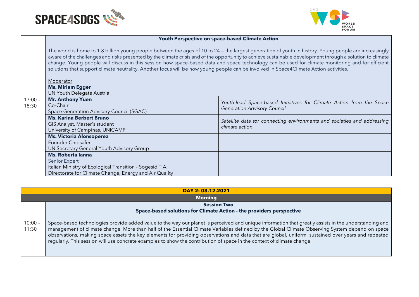



## **Youth Perspective on space-based Climate Action**

The world is home to 1.8 billion young people between the ages of 10 to 24 — the largest generation of youth in history. Young people are increasingly aware of the challenges and risks presented by the climate crisis and of the opportunity to achieve sustainable development through a solution to climate change. Young people will discuss in this session how space-based data and space technology can be used for climate monitoring and for efficient solutions that support climate neutrality. Another focus will be how young people can be involved in Space4Climate Action activities.

|           | Moderator                                                |                                                                         |
|-----------|----------------------------------------------------------|-------------------------------------------------------------------------|
|           | <b>Ms. Miriam Egger</b>                                  |                                                                         |
|           | <b>UN Youth Delegate Austria</b>                         |                                                                         |
| $17:00 -$ | <b>Mr. Anthony Yuen</b>                                  | Youth-lead Space-based Initiatives for Climate Action from the Space    |
| 18:30     | Co-Chair                                                 | <b>Generation Advisory Council</b>                                      |
|           | Space Generation Advisory Council (SGAC)                 |                                                                         |
|           | <b>Ms. Karina Berbert Bruno</b>                          | Satellite data for connecting environments and societies and addressing |
|           | GIS Analyst, Master's student                            | climate action                                                          |
|           | University of Campinas, UNICAMP                          |                                                                         |
|           | <b>Ms. Victoria Alonsoperez</b>                          |                                                                         |
|           | Founder Chipsafer                                        |                                                                         |
|           | UN Secretary General Youth Advisory Group                |                                                                         |
|           | <b>Ms. Roberta Janna</b>                                 |                                                                         |
|           | Senior Expert                                            |                                                                         |
|           | Italian Ministry of Ecological Transition - Sogesid T.A. |                                                                         |
|           | Directorate for Climate Change, Energy and Air Quality   |                                                                         |

|                    | DAY 2: 08.12.2021                                                                                                                                                                                                                                                                                                                                                                                                                                                                                                                                                                      |  |  |
|--------------------|----------------------------------------------------------------------------------------------------------------------------------------------------------------------------------------------------------------------------------------------------------------------------------------------------------------------------------------------------------------------------------------------------------------------------------------------------------------------------------------------------------------------------------------------------------------------------------------|--|--|
|                    | <b>Morning</b>                                                                                                                                                                                                                                                                                                                                                                                                                                                                                                                                                                         |  |  |
|                    | <b>Session Two</b>                                                                                                                                                                                                                                                                                                                                                                                                                                                                                                                                                                     |  |  |
|                    | Space-based solutions for Climate Action - the providers perspective                                                                                                                                                                                                                                                                                                                                                                                                                                                                                                                   |  |  |
| $10:00 -$<br>11:30 | Space-based technologies provide added value to the way our planet is perceived and unique information that greatly assists in the understanding and<br>management of climate change. More than half of the Essential Climate Variables defined by the Global Climate Observing System depend on space<br>observations, making space assets the key elements for providing observations and data that are global, uniform, sustained over years and repeated<br>regularly. This session will use concrete examples to show the contribution of space in the context of climate change. |  |  |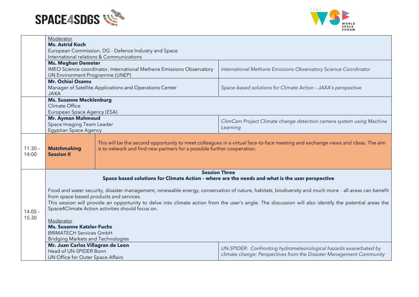



|                    | Moderator                                                                                                                                                                                                                                                                                                                                                                                                                                                                                                                                    |                                                                       |                                                                      |
|--------------------|----------------------------------------------------------------------------------------------------------------------------------------------------------------------------------------------------------------------------------------------------------------------------------------------------------------------------------------------------------------------------------------------------------------------------------------------------------------------------------------------------------------------------------------------|-----------------------------------------------------------------------|----------------------------------------------------------------------|
|                    | <b>Ms. Astrid Koch</b>                                                                                                                                                                                                                                                                                                                                                                                                                                                                                                                       |                                                                       |                                                                      |
|                    | European Commission, DG - Defence Industry and Space<br>International relations & Communications                                                                                                                                                                                                                                                                                                                                                                                                                                             |                                                                       |                                                                      |
|                    | <b>Ms. Meghan Demeter</b>                                                                                                                                                                                                                                                                                                                                                                                                                                                                                                                    |                                                                       |                                                                      |
|                    |                                                                                                                                                                                                                                                                                                                                                                                                                                                                                                                                              | IMEO Science coordinator, International Methane Emissions Observatory | International Methane Emissions Observatory Science Coordinator      |
|                    | UN Environment Programme (UNEP)                                                                                                                                                                                                                                                                                                                                                                                                                                                                                                              |                                                                       |                                                                      |
|                    | <b>Mr. Ochiai Osamu</b>                                                                                                                                                                                                                                                                                                                                                                                                                                                                                                                      |                                                                       |                                                                      |
|                    |                                                                                                                                                                                                                                                                                                                                                                                                                                                                                                                                              | Manager of Satellite Applications and Operations Center               | Space-based solutions for Climate Action - JAXA's perspective        |
|                    | <b>JAXA</b>                                                                                                                                                                                                                                                                                                                                                                                                                                                                                                                                  |                                                                       |                                                                      |
|                    | <b>Ms. Susanne Mecklenburg</b>                                                                                                                                                                                                                                                                                                                                                                                                                                                                                                               |                                                                       |                                                                      |
|                    | Climate Office                                                                                                                                                                                                                                                                                                                                                                                                                                                                                                                               |                                                                       |                                                                      |
|                    | European Space Agency (ESA)<br><b>Mr. Ayman Mahmoud</b>                                                                                                                                                                                                                                                                                                                                                                                                                                                                                      |                                                                       |                                                                      |
|                    | Space Imaging Team Leader                                                                                                                                                                                                                                                                                                                                                                                                                                                                                                                    |                                                                       | ClimCam Project Climate change detection camera system using Machine |
|                    | <b>Egyptian Space Agency</b>                                                                                                                                                                                                                                                                                                                                                                                                                                                                                                                 |                                                                       | Learning                                                             |
| $11:30 -$<br>14:00 | This will be the second opportunity to meet colleagues in a virtual face-to-face meeting and exchange views and ideas. The aim<br><b>Matchmaking</b><br>is to network and find new partners for a possible further cooperation.<br><b>Session II</b>                                                                                                                                                                                                                                                                                         |                                                                       |                                                                      |
|                    |                                                                                                                                                                                                                                                                                                                                                                                                                                                                                                                                              | <b>Session Three</b>                                                  |                                                                      |
|                    | Space based solutions for Climate Action - where are the needs and what is the user perspective                                                                                                                                                                                                                                                                                                                                                                                                                                              |                                                                       |                                                                      |
| $14.00 -$<br>15:30 | Food and water security, disaster management, renewable energy, conservation of nature, habitats, biodiversity and much more - all areas can benefit<br>from space-based products and services.<br>This session will provide an opportunity to delve into climate action from the user's angle. The discussion will also identify the potential areas the<br>Space4Climate Action activities should focus on.<br>Moderator<br><b>Ms. Susanne Katzler-Fuchs</b><br><b>BRIMATECH Services GmbH</b><br><b>Bridging Markets and Technologies</b> |                                                                       |                                                                      |
|                    | Mr. Juan Carlos Villagran de Leon                                                                                                                                                                                                                                                                                                                                                                                                                                                                                                            |                                                                       | UN-SPIDER: Confronting hydrometeorological hazards exacerbated by    |
|                    | Head of UN-SPIDER Bonn                                                                                                                                                                                                                                                                                                                                                                                                                                                                                                                       |                                                                       | climate change: Perspectives from the Disaster Management Community  |
|                    | UN Office for Outer Space Affairs                                                                                                                                                                                                                                                                                                                                                                                                                                                                                                            |                                                                       |                                                                      |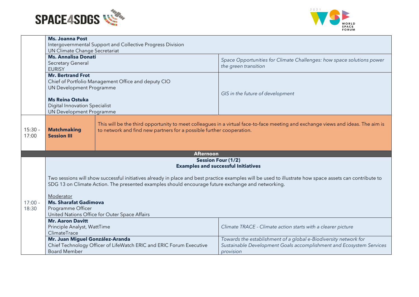



|                    | <b>Ms. Joanna Post</b><br>Intergovernmental Support and Collective Progress Division<br><b>UN Climate Change Secretariat</b>                                                                                                                                 |  |                                                                                                                                                      |
|--------------------|--------------------------------------------------------------------------------------------------------------------------------------------------------------------------------------------------------------------------------------------------------------|--|------------------------------------------------------------------------------------------------------------------------------------------------------|
|                    | <b>Ms. Annalisa Donati</b><br>Secretary General<br><b>EURISY</b>                                                                                                                                                                                             |  | Space Opportunities for Climate Challenges: how space solutions power<br>the green transition                                                        |
|                    | <b>Mr. Bertrand Frot</b><br>Chief of Portfolio Management Office and deputy CIO<br>UN Development Programme<br><b>Ms Reina Ostuka</b><br><b>Digital Innovation Specialist</b><br>UN Development Programme                                                    |  | GIS in the future of development                                                                                                                     |
| $15:30 -$<br>17:00 | This will be the third opportunity to meet colleagues in a virtual face-to-face meeting and exchange views and ideas. The aim is<br><b>Matchmaking</b><br>to network and find new partners for a possible further cooperation.<br><b>Session III</b>         |  |                                                                                                                                                      |
|                    | <b>Afternoon</b>                                                                                                                                                                                                                                             |  |                                                                                                                                                      |
|                    | <b>Session Four (1/2)</b><br><b>Examples and successful Initiatives</b>                                                                                                                                                                                      |  |                                                                                                                                                      |
|                    | Two sessions will show successful initiatives already in place and best practice examples will be used to illustrate how space assets can contribute to<br>SDG 13 on Climate Action. The presented examples should encourage future exchange and networking. |  |                                                                                                                                                      |
| $17:00 -$<br>18:30 | Moderator<br><b>Ms. Sharafat Gadimova</b><br>Programme Officer<br>United Nations Office for Outer Space Affairs                                                                                                                                              |  |                                                                                                                                                      |
|                    | <b>Mr. Aaron Davitt</b><br>Principle Analyst, WattTime<br>ClimateTrace                                                                                                                                                                                       |  | Climate TRACE - Climate action starts with a clearer picture                                                                                         |
|                    | Mr. Juan Miguel González-Aranda<br>Chief Technology Officer of LifeWatch ERIC and ERIC Forum Executive<br><b>Board Member</b>                                                                                                                                |  | Towards the establishment of a global e-Biodiversity network for<br>Sustainable Development Goals accomplishment and Ecosystem Services<br>provision |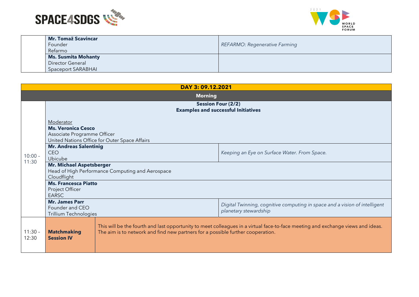



| <b>Mr. Tomaž Scavincar</b> |                                      |
|----------------------------|--------------------------------------|
| Founder                    | <b>REFARMO: Regenerative Farming</b> |
| Refarmo                    |                                      |
| <b>Ms. Susmita Mohanty</b> |                                      |
| Director General           |                                      |
| Spaceport SARABHAI         |                                      |

| DAY 3: 09.12.2021  |                                                                                                                                                                                                                                                               |                                               |                                                                                                     |
|--------------------|---------------------------------------------------------------------------------------------------------------------------------------------------------------------------------------------------------------------------------------------------------------|-----------------------------------------------|-----------------------------------------------------------------------------------------------------|
| <b>Morning</b>     |                                                                                                                                                                                                                                                               |                                               |                                                                                                     |
|                    | <b>Session Four (2/2)</b><br><b>Examples and successful Initiatives</b>                                                                                                                                                                                       |                                               |                                                                                                     |
| $10:00 -$          | Moderator<br><b>Ms. Veronica Cesco</b><br>Associate Programme Officer                                                                                                                                                                                         | United Nations Office for Outer Space Affairs |                                                                                                     |
|                    | <b>Mr. Andreas Salentinig</b><br><b>CEO</b><br>Ubicube                                                                                                                                                                                                        |                                               | Keeping an Eye on Surface Water. From Space.                                                        |
| 11:30              | <b>Mr. Michael Aspetsberger</b><br>Head of High Performance Computing and Aerospace<br>Cloudflight                                                                                                                                                            |                                               |                                                                                                     |
|                    | <b>Ms. Francesca Piatto</b><br>Project Officer<br><b>EARSC</b>                                                                                                                                                                                                |                                               |                                                                                                     |
|                    | <b>Mr. James Parr</b><br>Founder and CEO<br>Trillium Technologies                                                                                                                                                                                             |                                               | Digital Twinning, cognitive computing in space and a vision of intelligent<br>planetary stewardship |
| $11:30 -$<br>12:30 | This will be the fourth and last opportunity to meet colleagues in a virtual face-to-face meeting and exchange views and ideas.<br><b>Matchmaking</b><br>The aim is to network and find new partners for a possible further cooperation.<br><b>Session IV</b> |                                               |                                                                                                     |